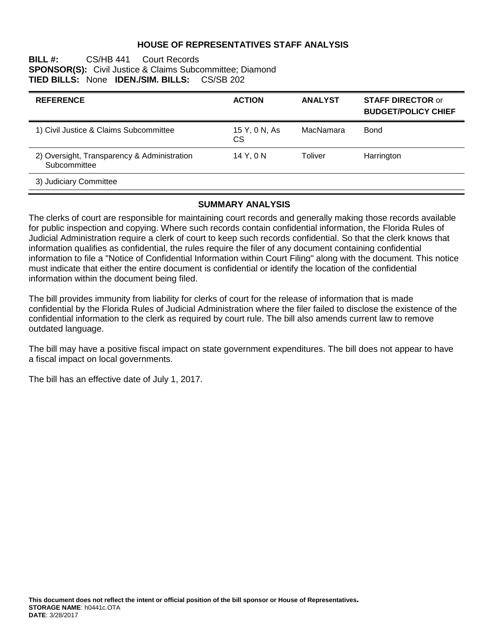## **HOUSE OF REPRESENTATIVES STAFF ANALYSIS**

### **BILL #:** CS/HB 441 Court Records **SPONSOR(S):** Civil Justice & Claims Subcommittee; Diamond **TIED BILLS:** None **IDEN./SIM. BILLS:** CS/SB 202

| <b>REFERENCE</b>                                            | <b>ACTION</b>        | <b>ANALYST</b> | <b>STAFF DIRECTOR or</b><br><b>BUDGET/POLICY CHIEF</b> |
|-------------------------------------------------------------|----------------------|----------------|--------------------------------------------------------|
| 1) Civil Justice & Claims Subcommittee                      | 15 Y, 0 N, As<br>CS. | MacNamara      | <b>Bond</b>                                            |
| 2) Oversight, Transparency & Administration<br>Subcommittee | 14 Y, 0 N            | Toliver        | Harrington                                             |
| 3) Judiciary Committee                                      |                      |                |                                                        |

## **SUMMARY ANALYSIS**

The clerks of court are responsible for maintaining court records and generally making those records available for public inspection and copying. Where such records contain confidential information, the Florida Rules of Judicial Administration require a clerk of court to keep such records confidential. So that the clerk knows that information qualifies as confidential, the rules require the filer of any document containing confidential information to file a "Notice of Confidential Information within Court Filing" along with the document. This notice must indicate that either the entire document is confidential or identify the location of the confidential information within the document being filed.

The bill provides immunity from liability for clerks of court for the release of information that is made confidential by the Florida Rules of Judicial Administration where the filer failed to disclose the existence of the confidential information to the clerk as required by court rule. The bill also amends current law to remove outdated language.

The bill may have a positive fiscal impact on state government expenditures. The bill does not appear to have a fiscal impact on local governments.

The bill has an effective date of July 1, 2017.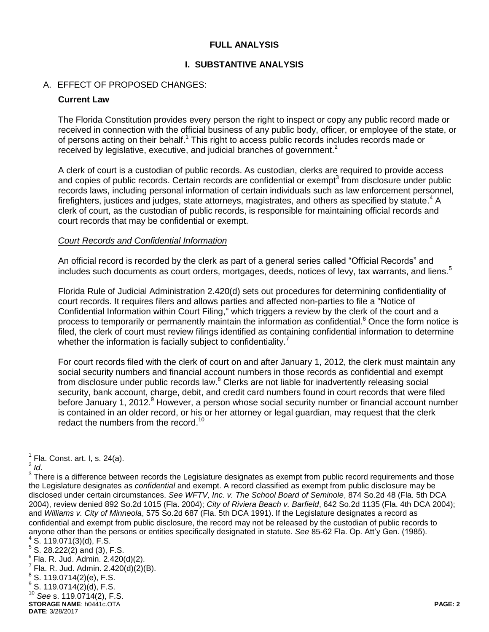## **FULL ANALYSIS**

## **I. SUBSTANTIVE ANALYSIS**

## A. EFFECT OF PROPOSED CHANGES:

### **Current Law**

The Florida Constitution provides every person the right to inspect or copy any public record made or received in connection with the official business of any public body, officer, or employee of the state, or of persons acting on their behalf.<sup>1</sup> This right to access public records includes records made or received by legislative, executive, and judicial branches of government.<sup>2</sup>

A clerk of court is a custodian of public records. As custodian, clerks are required to provide access and copies of public records. Certain records are confidential or exempt<sup>3</sup> from disclosure under public records laws, including personal information of certain individuals such as law enforcement personnel, firefighters, justices and judges, state attorneys, magistrates, and others as specified by statute.<sup>4</sup> A clerk of court, as the custodian of public records, is responsible for maintaining official records and court records that may be confidential or exempt.

#### *Court Records and Confidential Information*

An official record is recorded by the clerk as part of a general series called "Official Records" and includes such documents as court orders, mortgages, deeds, notices of levy, tax warrants, and liens.<sup>5</sup>

Florida Rule of Judicial Administration 2.420(d) sets out procedures for determining confidentiality of court records. It requires filers and allows parties and affected non-parties to file a "Notice of Confidential Information within Court Filing," which triggers a review by the clerk of the court and a process to temporarily or permanently maintain the information as confidential.<sup>6</sup> Once the form notice is filed, the clerk of court must review filings identified as containing confidential information to determine whether the information is facially subject to confidentiality.<sup>7</sup>

For court records filed with the clerk of court on and after January 1, 2012, the clerk must maintain any social security numbers and financial account numbers in those records as confidential and exempt from disclosure under public records law.<sup>8</sup> Clerks are not liable for inadvertently releasing social security, bank account, charge, debit, and credit card numbers found in court records that were filed before January 1, 2012.<sup>9</sup> However, a person whose social security number or financial account number is contained in an older record, or his or her attorney or legal guardian, may request that the clerk redact the numbers from the record.<sup>10</sup>

 $\overline{a}$ 

**STORAGE NAME**: h0441c.OTA **PAGE: 2** <sup>10</sup> *See* s. 119.0714(2), F.S.

 $<sup>1</sup>$  Fla. Const. art. I, s. 24(a).</sup>

<sup>2</sup> *Id*.

 $3$  There is a difference between records the Legislature designates as exempt from public record requirements and those the Legislature designates as *confidential* and exempt. A record classified as exempt from public disclosure may be disclosed under certain circumstances. *See WFTV, Inc. v. The School Board of Seminole*, 874 So.2d 48 (Fla. 5th DCA 2004), review denied 892 So.2d 1015 (Fla. 2004); *City of Riviera Beach v. Barfield*, 642 So.2d 1135 (Fla. 4th DCA 2004); and *Williams v. City of Minneola*, 575 So.2d 687 (Fla. 5th DCA 1991). If the Legislature designates a record as confidential and exempt from public disclosure, the record may not be released by the custodian of public records to anyone other than the persons or entities specifically designated in statute. *See* 85-62 Fla. Op. Att'y Gen. (1985).

 $4$  S. 119.071(3)(d), F.S.

 $5$  S. 28.222(2) and (3), F.S.

 $6$  Fla. R. Jud. Admin. 2.420(d)(2).

 $^7$  Fla. R. Jud. Admin. 2.420(d)(2)(B).

 $^8$  S. 119.0714(2)(e), F.S.

 $^{9}$  S. 119.0714(2)(d), F.S.

**DATE**: 3/28/2017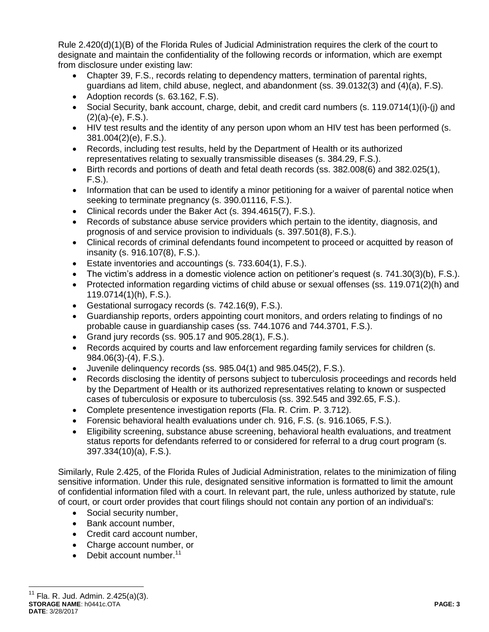Rule 2.420(d)(1)(B) of the Florida Rules of Judicial Administration requires the clerk of the court to designate and maintain the confidentiality of the following records or information, which are exempt from disclosure under existing law:

- Chapter 39, F.S., records relating to dependency matters, termination of parental rights, guardians ad litem, child abuse, neglect, and abandonment (ss. 39.0132(3) and (4)(a), F.S).
- Adoption records (s. 63.162, F.S).
- Social Security, bank account, charge, debit, and credit card numbers (s. 119.0714(1)(i)-(j) and  $(2)(a)-(e)$ , F.S.).
- HIV test results and the identity of any person upon whom an HIV test has been performed (s. 381.004(2)(e), F.S.).
- Records, including test results, held by the Department of Health or its authorized representatives relating to sexually transmissible diseases (s. 384.29, F.S.).
- Birth records and portions of death and fetal death records (ss. 382.008(6) and 382.025(1), F.S.).
- Information that can be used to identify a minor petitioning for a waiver of parental notice when seeking to terminate pregnancy (s. 390.01116, F.S.).
- Clinical records under the Baker Act (s. 394.4615(7), F.S.).
- Records of substance abuse service providers which pertain to the identity, diagnosis, and prognosis of and service provision to individuals (s. 397.501(8), F.S.).
- Clinical records of criminal defendants found incompetent to proceed or acquitted by reason of insanity (s. 916.107(8), F.S.).
- Estate inventories and accountings (s. 733.604(1), F.S.).
- The victim's address in a domestic violence action on petitioner's request (s. 741.30(3)(b), F.S.).
- Protected information regarding victims of child abuse or sexual offenses (ss. 119.071(2)(h) and 119.0714(1)(h), F.S.).
- Gestational surrogacy records (s. 742.16(9), F.S.).
- Guardianship reports, orders appointing court monitors, and orders relating to findings of no probable cause in guardianship cases (ss. 744.1076 and 744.3701, F.S.).
- Grand jury records (ss.  $905.17$  and  $905.28(1)$ , F.S.).
- Records acquired by courts and law enforcement regarding family services for children (s. 984.06(3)-(4), F.S.).
- Juvenile delinquency records (ss. 985.04(1) and 985.045(2), F.S.).
- Records disclosing the identity of persons subject to tuberculosis proceedings and records held by the Department of Health or its authorized representatives relating to known or suspected cases of tuberculosis or exposure to tuberculosis (ss. 392.545 and 392.65, F.S.).
- Complete presentence investigation reports (Fla. R. Crim. P. 3.712).
- Forensic behavioral health evaluations under ch. 916, F.S. (s. 916.1065, F.S.).
- Eligibility screening, substance abuse screening, behavioral health evaluations, and treatment status reports for defendants referred to or considered for referral to a drug court program (s. 397.334(10)(a), F.S.).

Similarly, Rule 2.425, of the Florida Rules of Judicial Administration, relates to the minimization of filing sensitive information. Under this rule, designated sensitive information is formatted to limit the amount of confidential information filed with a court. In relevant part, the rule, unless authorized by statute, rule of court, or court order provides that court filings should not contain any portion of an individual's:

- Social security number,
- Bank account number,
- Credit card account number,
- Charge account number, or
- $\bullet$  Debit account number.<sup>11</sup>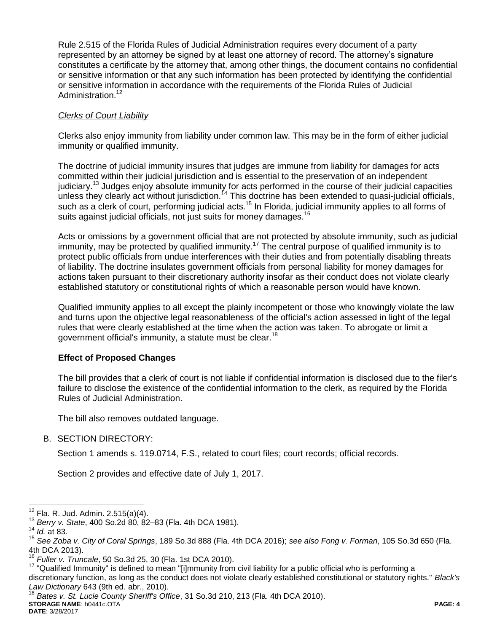Rule 2.515 of the Florida Rules of Judicial Administration requires every document of a party represented by an attorney be signed by at least one attorney of record. The attorney's signature constitutes a certificate by the attorney that, among other things, the document contains no confidential or sensitive information or that any such information has been protected by identifying the confidential or sensitive information in accordance with the requirements of the Florida Rules of Judicial Administration.<sup>12</sup>

# *Clerks of Court Liability*

Clerks also enjoy immunity from liability under common law. This may be in the form of either judicial immunity or qualified immunity.

The doctrine of judicial immunity insures that judges are immune from liability for damages for acts committed within their judicial jurisdiction and is essential to the preservation of an independent judiciary.<sup>13</sup> Judges enjoy absolute immunity for acts performed in the course of their judicial capacities unless they clearly act without jurisdiction.<sup>14</sup> This doctrine has been extended to quasi-judicial officials, such as a clerk of court, performing judicial acts.<sup>15</sup> In Florida, judicial immunity applies to all forms of suits against judicial officials, not just suits for money damages.<sup>16</sup>

Acts or omissions by a government official that are not protected by absolute immunity, such as judicial immunity, may be protected by qualified immunity.<sup>17</sup> The central purpose of qualified immunity is to protect public officials from undue interferences with their duties and from potentially disabling threats of liability. The doctrine insulates government officials from personal liability for money damages for actions taken pursuant to their discretionary authority insofar as their conduct does not violate clearly established statutory or constitutional rights of which a reasonable person would have known.

Qualified immunity applies to all except the plainly incompetent or those who knowingly violate the law and turns upon the objective legal reasonableness of the official's action assessed in light of the legal rules that were clearly established at the time when the action was taken. To abrogate or limit a government official's immunity, a statute must be clear.<sup>18</sup>

## **Effect of Proposed Changes**

The bill provides that a clerk of court is not liable if confidential information is disclosed due to the filer's failure to disclose the existence of the confidential information to the clerk, as required by the Florida Rules of Judicial Administration.

The bill also removes outdated language.

# B. SECTION DIRECTORY:

Section 1 amends s. 119.0714, F.S., related to court files; court records; official records.

Section 2 provides and effective date of July 1, 2017.

 $\overline{a}$ 

<sup>17</sup> "Qualified Immunity" is defined to mean "[i]mmunity from civil liability for a public official who is performing a discretionary function, as long as the conduct does not violate clearly established constitutional or statutory rights." *Black's Law Dictionary* 643 (9th ed. abr., 2010).

<sup>18</sup> *Bates v. St. Lucie County Sheriff's Office*, 31 So.3d 210, 213 (Fla. 4th DCA 2010).

#### **STORAGE NAME**: h0441c.OTA **PAGE: 4 DATE**: 3/28/2017

 $12$  Fla. R. Jud. Admin. 2.515(a)(4).

<sup>13</sup> *Berry v. State*, 400 So.2d 80, 82–83 (Fla. 4th DCA 1981).

<sup>14</sup> *Id.* at 83.

<sup>15</sup> *See Zoba v. City of Coral Springs*, 189 So.3d 888 (Fla. 4th DCA 2016); *see also Fong v. Forman*, 105 So.3d 650 (Fla. 4th DCA 2013).

<sup>16</sup> *Fuller v. Truncale*, 50 So.3d 25, 30 (Fla. 1st DCA 2010).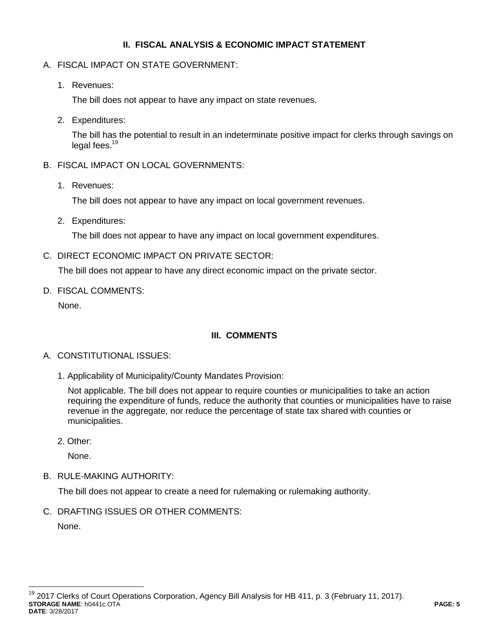# **II. FISCAL ANALYSIS & ECONOMIC IMPACT STATEMENT**

- A. FISCAL IMPACT ON STATE GOVERNMENT:
	- 1. Revenues:

The bill does not appear to have any impact on state revenues.

2. Expenditures:

The bill has the potential to result in an indeterminate positive impact for clerks through savings on legal fees.<sup>19</sup>

- B. FISCAL IMPACT ON LOCAL GOVERNMENTS:
	- 1. Revenues:

The bill does not appear to have any impact on local government revenues.

2. Expenditures:

The bill does not appear to have any impact on local government expenditures.

C. DIRECT ECONOMIC IMPACT ON PRIVATE SECTOR:

The bill does not appear to have any direct economic impact on the private sector.

D. FISCAL COMMENTS:

None.

# **III. COMMENTS**

## A. CONSTITUTIONAL ISSUES:

1. Applicability of Municipality/County Mandates Provision:

Not applicable. The bill does not appear to require counties or municipalities to take an action requiring the expenditure of funds, reduce the authority that counties or municipalities have to raise revenue in the aggregate, nor reduce the percentage of state tax shared with counties or municipalities.

2. Other:

None.

B. RULE-MAKING AUTHORITY:

The bill does not appear to create a need for rulemaking or rulemaking authority.

C. DRAFTING ISSUES OR OTHER COMMENTS:

None.

 $\overline{a}$